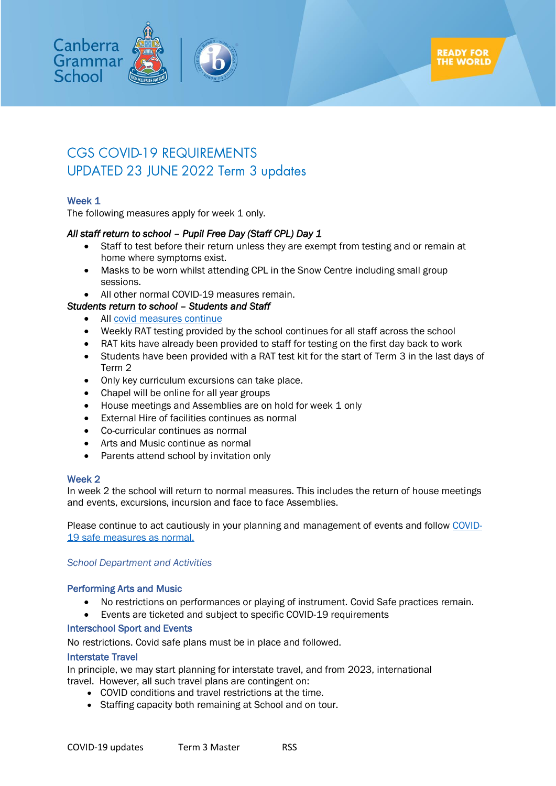

# **CGS COVID-19 REQUIREMENTS** UPDATED 23 JUNE 2022 Term 3 updates

# Week 1

The following measures apply for week 1 only.

# *All staff return to school – Pupil Free Day (Staff CPL) Day 1*

- Staff to test before their return unless they are exempt from testing and or remain at home where symptoms exist.
- Masks to be worn whilst attending CPL in the Snow Centre including small group sessions.
- All other normal COVID-19 measures remain.

# *Students return to school – Students and Staff*

- All [covid measures continue](#page-1-0)
- Weekly RAT testing provided by the school continues for all staff across the school
- RAT kits have already been provided to staff for testing on the first day back to work
- Students have been provided with a RAT test kit for the start of Term 3 in the last days of Term 2
- Only key curriculum excursions can take place.
- Chapel will be online for all year groups
- House meetings and Assemblies are on hold for week 1 only
- External Hire of facilities continues as normal
- Co-curricular continues as normal
- Arts and Music continue as normal
- Parents attend school by invitation only

# Week 2

In week 2 the school will return to normal measures. This includes the return of house meetings and events, excursions, incursion and face to face Assemblies.

Please continue to act cautiously in your planning and management of events and follow [COVID-](#page-1-0)[19 safe measures as normal.](#page-1-0)

# *School Department and Activities*

# Performing Arts and Music

- No restrictions on performances or playing of instrument. Covid Safe practices remain.
- Events are ticketed and subject to specific COVID-19 requirements

# Interschool Sport and Events

No restrictions. Covid safe plans must be in place and followed.

# Interstate Travel

In principle, we may start planning for interstate travel, and from 2023, international travel. However, all such travel plans are contingent on:

- COVID conditions and travel restrictions at the time.
- Staffing capacity both remaining at School and on tour.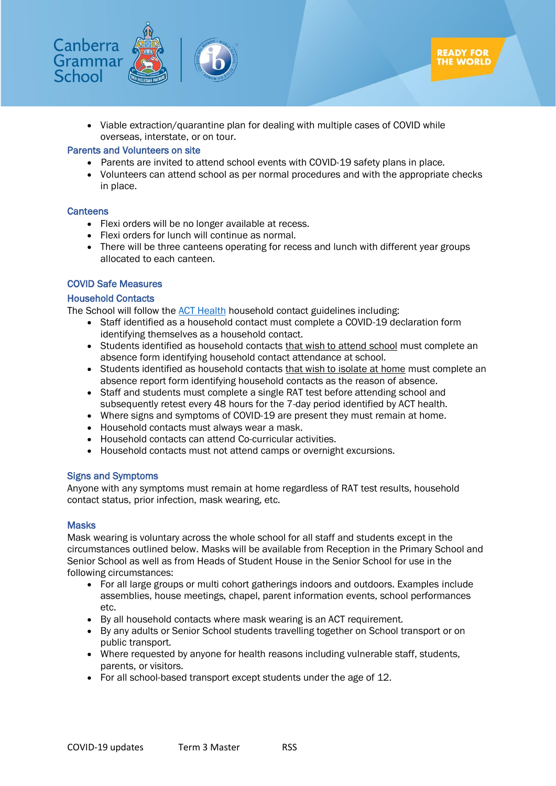

• Viable extraction/quarantine plan for dealing with multiple cases of COVID while overseas, interstate, or on tour.

#### Parents and Volunteers on site

- Parents are invited to attend school events with COVID-19 safety plans in place.
- Volunteers can attend school as per normal procedures and with the appropriate checks in place.

#### **Canteens**

- Flexi orders will be no longer available at recess.
- Flexi orders for lunch will continue as normal.
- There will be three canteens operating for recess and lunch with different year groups allocated to each canteen.

#### <span id="page-1-0"></span>COVID Safe Measures

#### Household Contacts

The School will follow the [ACT Health](https://www.covid19.act.gov.au/stay-safe-and-healthy/exposed-to-covid19) household contact guidelines including:

- Staff identified as a household contact must complete a COVID-19 declaration form identifying themselves as a household contact.
- Students identified as household contacts that wish to attend school must complete an absence form identifying household contact attendance at school.
- Students identified as household contacts that wish to isolate at home must complete an absence report form identifying household contacts as the reason of absence.
- Staff and students must complete a single RAT test before attending school and subsequently retest every 48 hours for the 7-day period identified by ACT health.
- Where signs and symptoms of COVID-19 are present they must remain at home.
- Household contacts must always wear a mask.
- Household contacts can attend Co-curricular activities.
- Household contacts must not attend camps or overnight excursions.

#### Signs and Symptoms

Anyone with any symptoms must remain at home regardless of RAT test results, household contact status, prior infection, mask wearing, etc.

#### **Masks**

Mask wearing is voluntary across the whole school for all staff and students except in the circumstances outlined below. Masks will be available from Reception in the Primary School and Senior School as well as from Heads of Student House in the Senior School for use in the following circumstances:

- For all large groups or multi cohort gatherings indoors and outdoors. Examples include assemblies, house meetings, chapel, parent information events, school performances etc.
- By all household contacts where mask wearing is an ACT requirement.
- By any adults or Senior School students travelling together on School transport or on public transport.
- Where requested by anyone for health reasons including vulnerable staff, students, parents, or visitors.
- For all school-based transport except students under the age of 12.